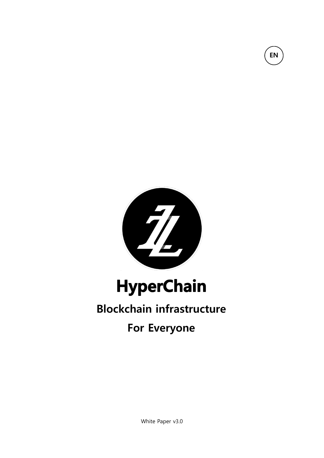

EN

# **HyperChain**

# Blockchain infrastructure

### For Everyone

White Paper v3.0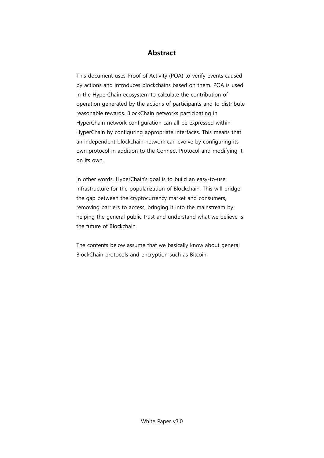#### Abstract

 This document uses Proof of Activity (POA) to verify events caused by actions and introduces blockchains based on them. POA is used in the HyperChain ecosystem to calculate the contribution of operation generated by the actions of participants and to distribute reasonable rewards. BlockChain networks participating in HyperChain network configuration can all be expressed within HyperChain by configuring appropriate interfaces. This means that an independent blockchain network can evolve by configuring its own protocol in addition to the Connect Protocol and modifying it on its own.

In other words, HyperChain's goal is to build an easy-to-use infrastructure for the popularization of Blockchain. This will bridge the gap between the cryptocurrency market and consumers, removing barriers to access, bringing it into the mainstream by helping the general public trust and understand what we believe is the future of Blockchain.

The contents below assume that we basically know about general BlockChain protocols and encryption such as Bitcoin.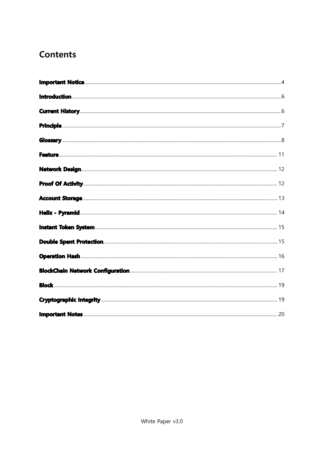#### **Contents**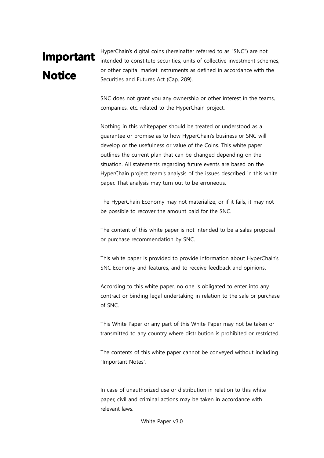# Important **Notice**

HyperChain's digital coins (hereinafter referred to as "SNC") are not intended to constitute securities, units of collective investment schemes, or other capital market instruments as defined in accordance with the Securities and Futures Act (Cap. 289).

SNC does not grant you any ownership or other interest in the teams, companies, etc. related to the HyperChain project.

Nothing in this whitepaper should be treated or understood as a guarantee or promise as to how HyperChain's business or SNC will develop or the usefulness or value of the Coins. This white paper outlines the current plan that can be changed depending on the situation. All statements regarding future events are based on the HyperChain project team's analysis of the issues described in this white paper. That analysis may turn out to be erroneous.

The HyperChain Economy may not materialize, or if it fails, it may not be possible to recover the amount paid for the SNC.

The content of this white paper is not intended to be a sales proposal or purchase recommendation by SNC.

This white paper is provided to provide information about HyperChain's SNC Economy and features, and to receive feedback and opinions.

According to this white paper, no one is obligated to enter into any contract or binding legal undertaking in relation to the sale or purchase of SNC.

This White Paper or any part of this White Paper may not be taken or transmitted to any country where distribution is prohibited or restricted.

The contents of this white paper cannot be conveyed without including "Important Notes".

In case of unauthorized use or distribution in relation to this white paper, civil and criminal actions may be taken in accordance with relevant laws.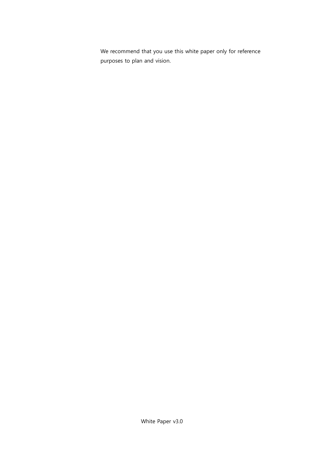We recommend that you use this white paper only for reference purposes to plan and vision.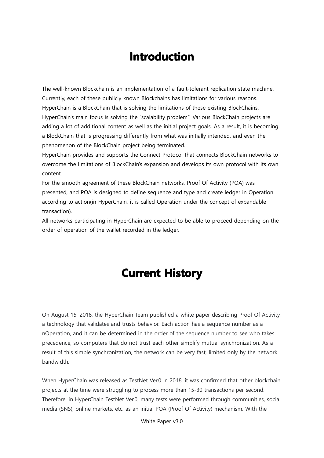### **Introduction**

The well-known Blockchain is an implementation of a fault-tolerant replication state machine. Currently, each of these publicly known Blockchains has limitations for various reasons. HyperChain is a BlockChain that is solving the limitations of these existing BlockChains. HyperChain's main focus is solving the "scalability problem". Various BlockChain projects are adding a lot of additional content as well as the initial project goals. As a result, it is becoming a BlockChain that is progressing differently from what was initially intended, and even the phenomenon of the BlockChain project being terminated.

HyperChain provides and supports the Connect Protocol that connects BlockChain networks to overcome the limitations of BlockChain's expansion and develops its own protocol with its own content.

For the smooth agreement of these BlockChain networks, Proof Of Activity (POA) was presented, and POA is designed to define sequence and type and create ledger in Operation according to action(in HyperChain, it is called Operation under the concept of expandable transaction).

All networks participating in HyperChain are expected to be able to proceed depending on the order of operation of the wallet recorded in the ledger.

### **Current History**

On August 15, 2018, the HyperChain Team published a white paper describing Proof Of Activity, a technology that validates and trusts behavior. Each action has a sequence number as a nOperation, and it can be determined in the order of the sequence number to see who takes precedence, so computers that do not trust each other simplify mutual synchronization. As a result of this simple synchronization, the network can be very fast, limited only by the network bandwidth.

When HyperChain was released as TestNet Ver.0 in 2018, it was confirmed that other blockchain projects at the time were struggling to process more than 15-30 transactions per second. Therefore, in HyperChain TestNet Ver.0, many tests were performed through communities, social media (SNS), online markets, etc. as an initial POA (Proof Of Activity) mechanism. With the

White Paper v3.0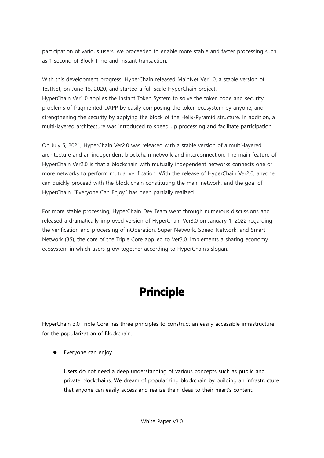participation of various users, we proceeded to enable more stable and faster processing such as 1 second of Block Time and instant transaction.

With this development progress, HyperChain released MainNet Ver1.0, a stable version of TestNet, on June 15, 2020, and started a full-scale HyperChain project. HyperChain Ver1.0 applies the Instant Token System to solve the token code and security problems of fragmented DAPP by easily composing the token ecosystem by anyone, and strengthening the security by applying the block of the Helix-Pyramid structure. In addition, a multi-layered architecture was introduced to speed up processing and facilitate participation.

On July 5, 2021, HyperChain Ver2.0 was released with a stable version of a multi-layered architecture and an independent blockchain network and interconnection. The main feature of HyperChain Ver2.0 is that a blockchain with mutually independent networks connects one or more networks to perform mutual verification. With the release of HyperChain Ver2.0, anyone can quickly proceed with the block chain constituting the main network, and the goal of HyperChain, "Everyone Can Enjoy," has been partially realized.

For more stable processing, HyperChain Dev Team went through numerous discussions and released a dramatically improved version of HyperChain Ver3.0 on January 1, 2022 regarding the verification and processing of nOperation. Super Network, Speed Network, and Smart Network (3S), the core of the Triple Core applied to Ver3.0, implements a sharing economy ecosystem in which users grow together according to HyperChain's slogan.

### **Principle**

HyperChain 3.0 Triple Core has three principles to construct an easily accessible infrastructure for the popularization of Blockchain.

Everyone can enjoy

Users do not need a deep understanding of various concepts such as public and private blockchains. We dream of popularizing blockchain by building an infrastructure that anyone can easily access and realize their ideas to their heart's content.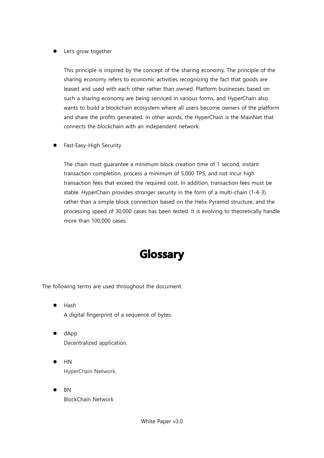Let's grow together

This principle is inspired by the concept of the sharing economy. The principle of the sharing economy refers to economic activities recognizing the fact that goods are leased and used with each other rather than owned. Platform businesses based on such a sharing economy are being serviced in various forms, and HyperChain also wants to build a blockchain ecosystem where all users become owners of the platform and share the profits generated. In other words, the HyperChain is the MainNet that connects the blockchain with an independent network.

Fast-Easy-High Security

The chain must guarantee a minimum block creation time of 1 second, instant transaction completion, process a minimum of 5,000 TPS, and not incur high transaction fees that exceed the required cost. In addition, transaction fees must be stable. HyperChain provides stronger security in the form of a multi-chain (1-4-3) rather than a simple block connection based on the Helix-Pyramid structure, and the processing speed of 30,000 cases has been tested. It is evolving to theoretically handle more than 100,000 cases.

### **Glossary**

The following terms are used throughout the document.

- Hash A digital fingerprint of a sequence of bytes.
- dApp Decentralized application.
- HN HyperChain Network.
- BN BlockChain Network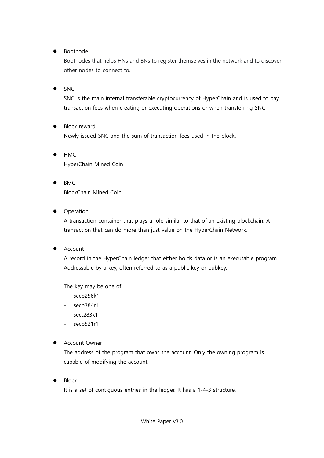Bootnode

Bootnodes that helps HNs and BNs to register themselves in the network and to discover other nodes to connect to.

 $\bullet$  SNC

SNC is the main internal transferable cryptocurrency of HyperChain and is used to pay transaction fees when creating or executing operations or when transferring SNC.

- Block reward Newly issued SNC and the sum of transaction fees used in the block.
- HMC HyperChain Mined Coin
- BMC BlockChain Mined Coin
- Operation

A transaction container that plays a role similar to that of an existing blockchain. A transaction that can do more than just value on the HyperChain Network..

Account

A record in the HyperChain ledger that either holds data or is an executable program. Addressable by a key, often referred to as a public key or pubkey.

The key may be one of:

- secp256k1
- secp384r1
- sect283k1
- secp521r1

#### Account Owner

The address of the program that owns the account. Only the owning program is capable of modifying the account.

Block

It is a set of contiguous entries in the ledger. It has a 1-4-3 structure.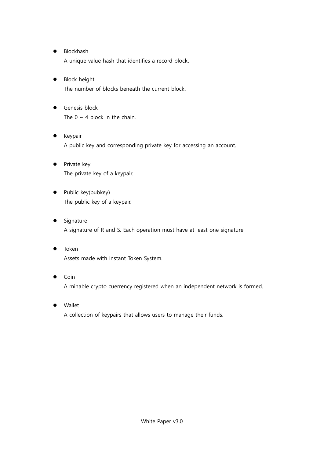- **•** Blockhash A unique value hash that identifies a record block.
- Block height The number of blocks beneath the current block.
- Genesis block The  $0 \sim 4$  block in the chain.
- Keypair A public key and corresponding private key for accessing an account.
- Private key The private key of a keypair.
- Public key(pubkey) The public key of a keypair.
- Signature A signature of R and S. Each operation must have at least one signature.
- Token Assets made with Instant Token System.
- Coin A minable crypto cuerrency registered when an independent network is formed.
- Wallet A collection of keypairs that allows users to manage their funds.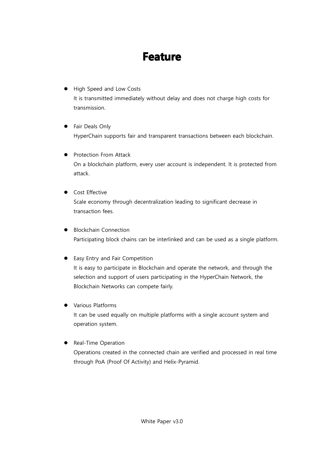### **Feature**

- High Speed and Low Costs It is transmitted immediately without delay and does not charge high costs for transmission.
- **•** Fair Deals Only HyperChain supports fair and transparent transactions between each blockchain.
- Protection From Attack On a blockchain platform, every user account is independent. It is protected from attack.
- **•** Cost Effective Scale economy through decentralization leading to significant decrease in transaction fees.
- Blockchain Connection Participating block chains can be interlinked and can be used as a single platform.
- **•** Easy Entry and Fair Competition It is easy to participate in Blockchain and operate the network, and through the selection and support of users participating in the HyperChain Network, the Blockchain Networks can compete fairly.
- **•** Various Platforms

It can be used equally on multiple platforms with a single account system and operation system.

#### • Real-Time Operation

Operations created in the connected chain are verified and processed in real time through PoA (Proof Of Activity) and Helix-Pyramid.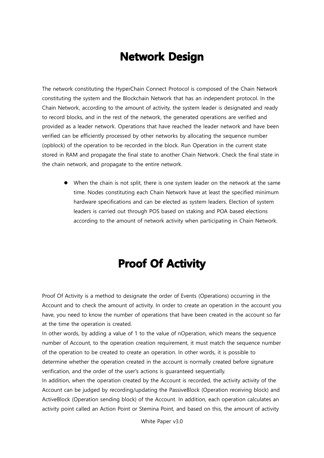### **Network Design**

The network constituting the HyperChain Connect Protocol is composed of the Chain Network constituting the system and the Blockchain Network that has an independent protocol. In the Chain Network, according to the amount of activity, the system leader is designated and ready to record blocks, and in the rest of the network, the generated operations are verified and provided as a leader network. Operations that have reached the leader network and have been verified can be efficiently processed by other networks by allocating the sequence number (opblock) of the operation to be recorded in the block. Run Operation in the current state stored in RAM and propagate the final state to another Chain Network. Check the final state in the chain network, and propagate to the entire network.

 When the chain is not split, there is one system leader on the network at the same time. Nodes constituting each Chain Network have at least the specified minimum hardware specifications and can be elected as system leaders. Election of system leaders is carried out through POS based on staking and POA based elections according to the amount of network activity when participating in Chain Network.

# **Proof Of Activity**

Proof Of Activity is a method to designate the order of Events (Operations) occurring in the Account and to check the amount of activity. In order to create an operation in the account you have, you need to know the number of operations that have been created in the account so far at the time the operation is created.

In other words, by adding a value of 1 to the value of nOperation, which means the sequence number of Account, to the operation creation requirement, it must match the sequence number of the operation to be created to create an operation. In other words, it is possible to determine whether the operation created in the account is normally created before signature verification, and the order of the user's actions is guaranteed sequentially.

In addition, when the operation created by the Account is recorded, the activity activity of the Account can be judged by recording/updating the PassiveBlock (Operation receiving block) and ActiveBlock (Operation sending block) of the Account. In addition, each operation calculates an activity point called an Action Point or Stemina Point, and based on this, the amount of activity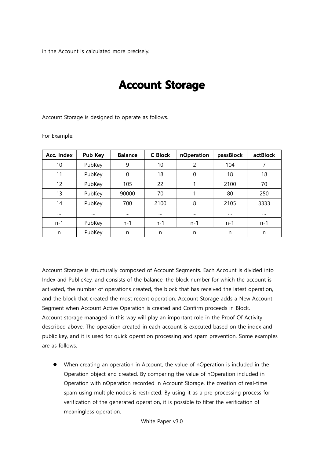in the Account is calculated more precisely.

### **Account Storage**

Account Storage is designed to operate as follows.

For Example:

| Acc. Index | Pub Key  | <b>Balance</b> | C Block  | nOperation | passBlock | actBlock |
|------------|----------|----------------|----------|------------|-----------|----------|
| 10         | PubKey   | 9              | 10       | 2          | 104       | 7        |
| 11         | PubKey   | 0              | 18       | $\Omega$   | 18        | 18       |
| 12         | PubKey   | 105            | 22       |            | 2100      | 70       |
| 13         | PubKey   | 90000          | 70       |            | 80        | 250      |
| 14         | PubKey   | 700            | 2100     | 8          | 2105      | 3333     |
| $\cdots$   | $\cdots$ | $\cdots$       | $\cdots$ | $\cdots$   | $\cdots$  | $\cdots$ |
| $n - 1$    | PubKey   | $n - 1$        | $n-1$    | $n-1$      | $n - 1$   | $n-1$    |
| n          | PubKey   | n              | n        | n          | n         | n        |

Account Storage is structurally composed of Account Segments. Each Account is divided into Index and PublicKey, and consists of the balance, the block number for which the account is activated, the number of operations created, the block that has received the latest operation, and the block that created the most recent operation. Account Storage adds a New Account Segment when Account Active Operation is created and Confirm proceeds in Block. Account storage managed in this way will play an important role in the Proof Of Activity described above. The operation created in each account is executed based on the index and public key, and it is used for quick operation processing and spam prevention. Some examples are as follows.

 When creating an operation in Account, the value of nOperation is included in the Operation object and created. By comparing the value of nOperation included in Operation with nOperation recorded in Account Storage, the creation of real-time spam using multiple nodes is restricted. By using it as a pre-processing process for verification of the generated operation, it is possible to filter the verification of meaningless operation.

White Paper v3.0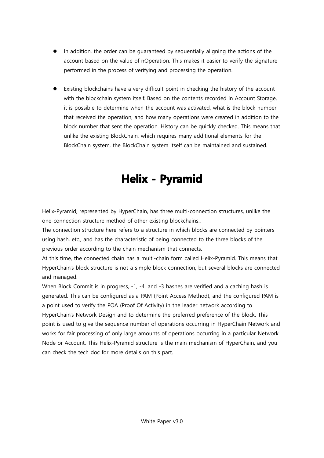- In addition, the order can be guaranteed by sequentially aligning the actions of the account based on the value of nOperation. This makes it easier to verify the signature performed in the process of verifying and processing the operation.
- Existing blockchains have a very difficult point in checking the history of the account with the blockchain system itself. Based on the contents recorded in Account Storage, it is possible to determine when the account was activated, what is the block number that received the operation, and how many operations were created in addition to the block number that sent the operation. History can be quickly checked. This means that unlike the existing BlockChain, which requires many additional elements for the BlockChain system, the BlockChain system itself can be maintained and sustained.

# **Helix - Pyramid**

Helix-Pyramid, represented by HyperChain, has three multi-connection structures, unlike the one-connection structure method of other existing blockchains..

The connection structure here refers to a structure in which blocks are connected by pointers using hash, etc., and has the characteristic of being connected to the three blocks of the previous order according to the chain mechanism that connects.

At this time, the connected chain has a multi-chain form called Helix-Pyramid. This means that HyperChain's block structure is not a simple block connection, but several blocks are connected and managed.

When Block Commit is in progress, -1, -4, and -3 hashes are verified and a caching hash is generated. This can be configured as a PAM (Point Access Method), and the configured PAM is a point used to verify the POA (Proof Of Activity) in the leader network according to HyperChain's Network Design and to determine the preferred preference of the block. This point is used to give the sequence number of operations occurring in HyperChain Network and works for fair processing of only large amounts of operations occurring in a particular Network Node or Account. This Helix-Pyramid structure is the main mechanism of HyperChain, and you can check the tech doc for more details on this part.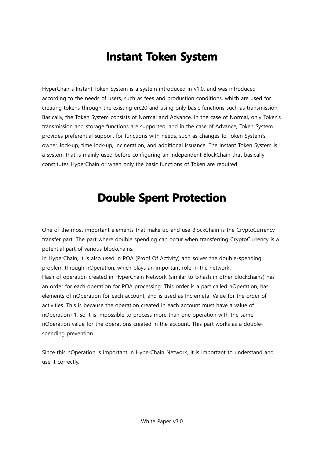### **Instant Token System**

HyperChain's Instant Token System is a system introduced in v1.0, and was introduced according to the needs of users, such as fees and production conditions, which are used for creating tokens through the existing erc20 and using only basic functions such as transmission. Basically, the Token System consists of Normal and Advance. In the case of Normal, only Token's transmission and storage functions are supported, and in the case of Advance, Token System provides preferential support for functions with needs, such as changes to Token System's owner, lock-up, time lock-up, incineration, and additional issuance. The Instant Token System is a system that is mainly used before configuring an independent BlockChain that basically constitutes HyperChain or when only the basic functions of Token are required.

### **Double Spent Protection**

One of the most important elements that make up and use BlockChain is the CryptoCurrency transfer part. The part where double spending can occur when transferring CryptoCurrency is a potential part of various blockchains.

In HyperChain, it is also used in POA (Proof Of Activity) and solves the double-spending problem through nOperation, which plays an important role in the network.

Hash of operation created in HyperChain Network (similar to txhash in other blockchains) has an order for each operation for POA processing. This order is a part called nOperation, has elements of nOperation for each account, and is used as Incremetal Value for the order of activities. This is because the operation created in each account must have a value of nOperation+1, so it is impossible to process more than one operation with the same nOperation value for the operations created in the account. This part works as a doublespending prevention.

Since this nOperation is important in HyperChain Network, it is important to understand and use it correctly.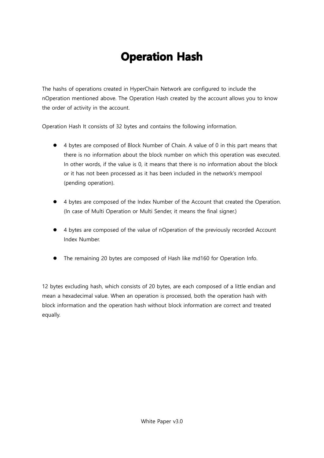# **Operation Hash**

The hashs of operations created in HyperChain Network are configured to include the nOperation mentioned above. The Operation Hash created by the account allows you to know the order of activity in the account.

Operation Hash It consists of 32 bytes and contains the following information.

- 4 bytes are composed of Block Number of Chain. A value of 0 in this part means that there is no information about the block number on which this operation was executed. In other words, if the value is 0, it means that there is no information about the block or it has not been processed as it has been included in the network's mempool (pending operation).
- 4 bytes are composed of the Index Number of the Account that created the Operation. (In case of Multi Operation or Multi Sender, it means the final signer.)
- 4 bytes are composed of the value of nOperation of the previously recorded Account Index Number.
- The remaining 20 bytes are composed of Hash like md160 for Operation Info.

12 bytes excluding hash, which consists of 20 bytes, are each composed of a little endian and mean a hexadecimal value. When an operation is processed, both the operation hash with block information and the operation hash without block information are correct and treated equally.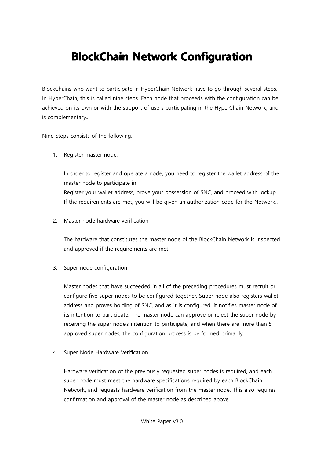### **BlockChain Network Configuration**

BlockChains who want to participate in HyperChain Network have to go through several steps. In HyperChain, this is called nine steps. Each node that proceeds with the configuration can be achieved on its own or with the support of users participating in the HyperChain Network, and is complementary..

Nine Steps consists of the following.

1. Register master node.

In order to register and operate a node, you need to register the wallet address of the master node to participate in. Register your wallet address, prove your possession of SNC, and proceed with lockup. If the requirements are met, you will be given an authorization code for the Network..

2. Master node hardware verification

The hardware that constitutes the master node of the BlockChain Network is inspected and approved if the requirements are met..

3. Super node configuration

Master nodes that have succeeded in all of the preceding procedures must recruit or configure five super nodes to be configured together. Super node also registers wallet address and proves holding of SNC, and as it is configured, it notifies master node of its intention to participate. The master node can approve or reject the super node by receiving the super node's intention to participate, and when there are more than 5 approved super nodes, the configuration process is performed primarily.

4. Super Node Hardware Verification

Hardware verification of the previously requested super nodes is required, and each super node must meet the hardware specifications required by each BlockChain Network, and requests hardware verification from the master node. This also requires confirmation and approval of the master node as described above.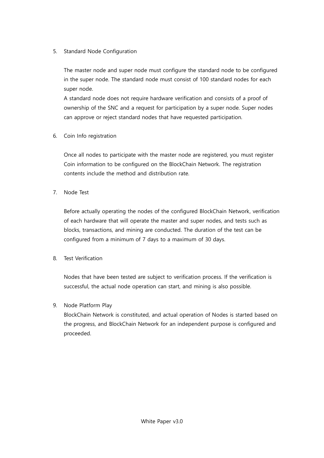#### 5. Standard Node Configuration

The master node and super node must configure the standard node to be configured in the super node. The standard node must consist of 100 standard nodes for each super node.

A standard node does not require hardware verification and consists of a proof of ownership of the SNC and a request for participation by a super node. Super nodes can approve or reject standard nodes that have requested participation.

6. Coin Info registration

Once all nodes to participate with the master node are registered, you must register Coin information to be configured on the BlockChain Network. The registration contents include the method and distribution rate.

7. Node Test

Before actually operating the nodes of the configured BlockChain Network, verification of each hardware that will operate the master and super nodes, and tests such as blocks, transactions, and mining are conducted. The duration of the test can be configured from a minimum of 7 days to a maximum of 30 days.

8. Test Verification

Nodes that have been tested are subject to verification process. If the verification is successful, the actual node operation can start, and mining is also possible.

#### 9. Node Platform Play

BlockChain Network is constituted, and actual operation of Nodes is started based on the progress, and BlockChain Network for an independent purpose is configured and proceeded.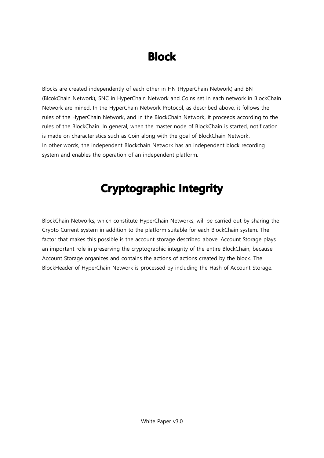# **Block**

Blocks are created independently of each other in HN (HyperChain Network) and BN (BlcokChain Network), SNC in HyperChain Network and Coins set in each network in BlockChain Network are mined. In the HyperChain Network Protocol, as described above, it follows the rules of the HyperChain Network, and in the BlockChain Network, it proceeds according to the rules of the BlockChain. In general, when the master node of BlockChain is started, notification is made on characteristics such as Coin along with the goal of BlockChain Network. In other words, the independent Blockchain Network has an independent block recording system and enables the operation of an independent platform.

# **Cryptographic Integrity**

BlockChain Networks, which constitute HyperChain Networks, will be carried out by sharing the Crypto Current system in addition to the platform suitable for each BlockChain system. The factor that makes this possible is the account storage described above. Account Storage plays an important role in preserving the cryptographic integrity of the entire BlockChain, because Account Storage organizes and contains the actions of actions created by the block. The BlockHeader of HyperChain Network is processed by including the Hash of Account Storage.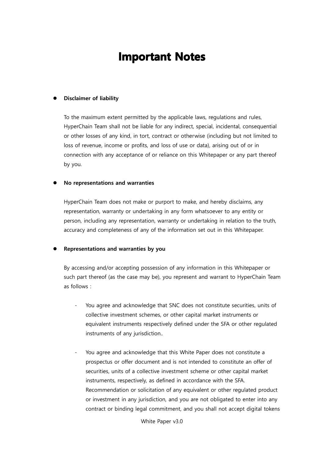### **Important Notes**

#### Disclaimer of liability

To the maximum extent permitted by the applicable laws, regulations and rules, HyperChain Team shall not be liable for any indirect, special, incidental, consequential or other losses of any kind, in tort, contract or otherwise (including but not limited to loss of revenue, income or profits, and loss of use or data), arising out of or in connection with any acceptance of or reliance on this Whitepaper or any part thereof by you.

#### No representations and warranties

HyperChain Team does not make or purport to make, and hereby disclaims, any representation, warranty or undertaking in any form whatsoever to any entity or person, including any representation, warranty or undertaking in relation to the truth, accuracy and completeness of any of the information set out in this Whitepaper.

#### Representations and warranties by you

By accessing and/or accepting possession of any information in this Whitepaper or such part thereof (as the case may be), you represent and warrant to HyperChain Team as follows :

- You agree and acknowledge that SNC does not constitute securities, units of collective investment schemes, or other capital market instruments or equivalent instruments respectively defined under the SFA or other regulated instruments of any jurisdiction..
- You agree and acknowledge that this White Paper does not constitute a prospectus or offer document and is not intended to constitute an offer of securities, units of a collective investment scheme or other capital market instruments, respectively, as defined in accordance with the SFA. Recommendation or solicitation of any equivalent or other regulated product or investment in any jurisdiction, and you are not obligated to enter into any contract or binding legal commitment, and you shall not accept digital tokens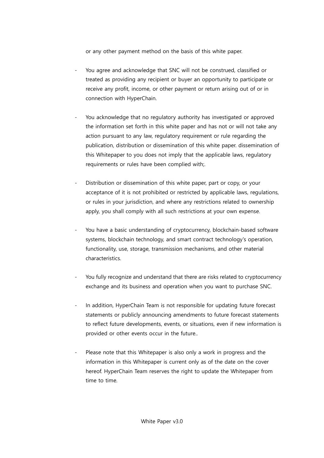or any other payment method on the basis of this white paper.

- You agree and acknowledge that SNC will not be construed, classified or treated as providing any recipient or buyer an opportunity to participate or receive any profit, income, or other payment or return arising out of or in connection with HyperChain.
- You acknowledge that no regulatory authority has investigated or approved the information set forth in this white paper and has not or will not take any action pursuant to any law, regulatory requirement or rule regarding the publication, distribution or dissemination of this white paper. dissemination of this Whitepaper to you does not imply that the applicable laws, regulatory requirements or rules have been complied with:
- Distribution or dissemination of this white paper, part or copy, or your acceptance of it is not prohibited or restricted by applicable laws, regulations, or rules in your jurisdiction, and where any restrictions related to ownership apply, you shall comply with all such restrictions at your own expense.
- You have a basic understanding of cryptocurrency, blockchain-based software systems, blockchain technology, and smart contract technology's operation, functionality, use, storage, transmission mechanisms, and other material characteristics.
- You fully recognize and understand that there are risks related to cryptocurrency exchange and its business and operation when you want to purchase SNC.
- In addition, HyperChain Team is not responsible for updating future forecast statements or publicly announcing amendments to future forecast statements to reflect future developments, events, or situations, even if new information is provided or other events occur in the future..
- Please note that this Whitepaper is also only a work in progress and the information in this Whitepaper is current only as of the date on the cover hereof. HyperChain Team reserves the right to update the Whitepaper from time to time.